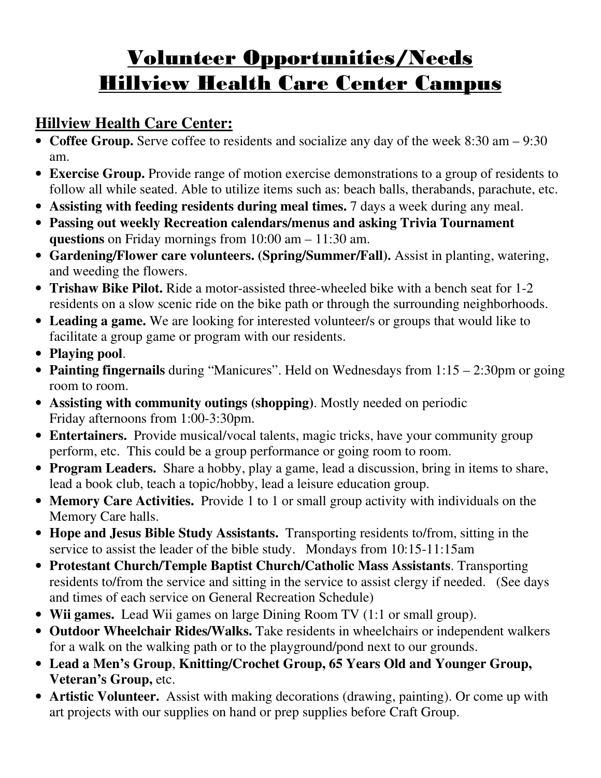# Volunteer Opportunities/Needs Hillview Health Care Center Campus

## **Hillview Health Care Center:**

- **Coffee Group.** Serve coffee to residents and socialize any day of the week 8:30 am 9:30 am.
- **Exercise Group.** Provide range of motion exercise demonstrations to a group of residents to follow all while seated. Able to utilize items such as: beach balls, therabands, parachute, etc.
- **Assisting with feeding residents during meal times.** 7 days a week during any meal.
- **Passing out weekly Recreation calendars/menus and asking Trivia Tournament questions** on Friday mornings from 10:00 am – 11:30 am.
- **Gardening/Flower care volunteers. (Spring/Summer/Fall).** Assist in planting, watering, and weeding the flowers.
- **Trishaw Bike Pilot.** Ride a motor-assisted three-wheeled bike with a bench seat for 1-2 residents on a slow scenic ride on the bike path or through the surrounding neighborhoods.
- **Leading a game.** We are looking for interested volunteer/s or groups that would like to facilitate a group game or program with our residents.
- **Playing pool**.
- **Painting fingernails** during "Manicures". Held on Wednesdays from 1:15 2:30pm or going room to room.
- **Assisting with community outings (shopping)**. Mostly needed on periodic Friday afternoons from 1:00-3:30pm.
- **Entertainers.** Provide musical/vocal talents, magic tricks, have your community group perform, etc. This could be a group performance or going room to room.
- **Program Leaders.** Share a hobby, play a game, lead a discussion, bring in items to share, lead a book club, teach a topic/hobby, lead a leisure education group.
- **Memory Care Activities.** Provide 1 to 1 or small group activity with individuals on the Memory Care halls.
- **Hope and Jesus Bible Study Assistants.** Transporting residents to/from, sitting in the service to assist the leader of the bible study. Mondays from 10:15-11:15am
- **Protestant Church/Temple Baptist Church/Catholic Mass Assistants**. Transporting residents to/from the service and sitting in the service to assist clergy if needed. (See days and times of each service on General Recreation Schedule)
- **Wii games.** Lead Wii games on large Dining Room TV (1:1 or small group).
- **Outdoor Wheelchair Rides/Walks.** Take residents in wheelchairs or independent walkers for a walk on the walking path or to the playground/pond next to our grounds.
- **Lead a Men's Group**, **Knitting/Crochet Group, 65 Years Old and Younger Group, Veteran's Group,** etc.
- **Artistic Volunteer.** Assist with making decorations (drawing, painting). Or come up with art projects with our supplies on hand or prep supplies before Craft Group.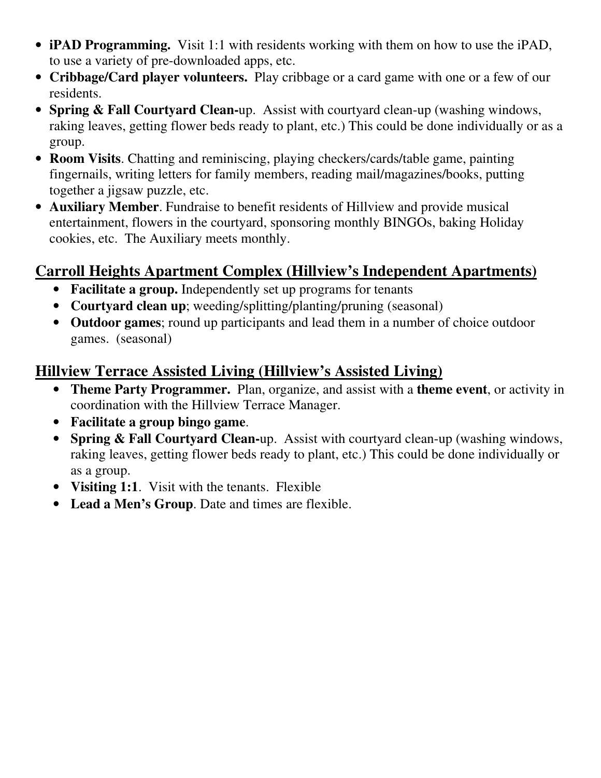- **iPAD Programming.** Visit 1:1 with residents working with them on how to use the iPAD, to use a variety of pre-downloaded apps, etc.
- **Cribbage/Card player volunteers.** Play cribbage or a card game with one or a few of our residents.
- **Spring & Fall Courtyard Clean-**up. Assist with courtyard clean-up (washing windows, raking leaves, getting flower beds ready to plant, etc.) This could be done individually or as a group.
- **Room Visits**. Chatting and reminiscing, playing checkers/cards/table game, painting fingernails, writing letters for family members, reading mail/magazines/books, putting together a jigsaw puzzle, etc.
- **Auxiliary Member**. Fundraise to benefit residents of Hillview and provide musical entertainment, flowers in the courtyard, sponsoring monthly BINGOs, baking Holiday cookies, etc. The Auxiliary meets monthly.

## **Carroll Heights Apartment Complex (Hillview's Independent Apartments)**

- **Facilitate a group.** Independently set up programs for tenants
- **Courtyard clean up**; weeding/splitting/planting/pruning (seasonal)
- **Outdoor games**; round up participants and lead them in a number of choice outdoor games. (seasonal)

## **Hillview Terrace Assisted Living (Hillview's Assisted Living)**

- **Theme Party Programmer.** Plan, organize, and assist with a **theme event**, or activity in coordination with the Hillview Terrace Manager.
- **Facilitate a group bingo game**.
- **Spring & Fall Courtyard Clean-**up. Assist with courtyard clean-up (washing windows, raking leaves, getting flower beds ready to plant, etc.) This could be done individually or as a group.
- **Visiting 1:1**. Visit with the tenants. Flexible
- **Lead a Men's Group**. Date and times are flexible.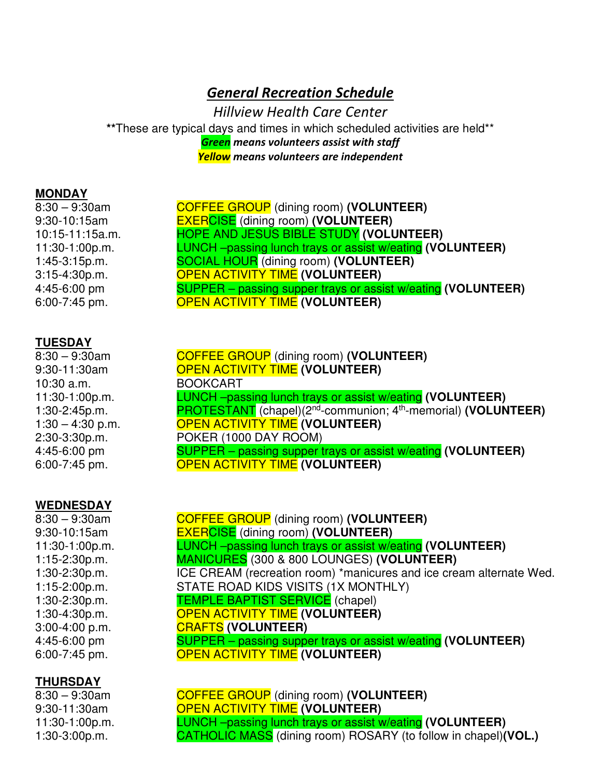## *General Recreation Schedule*

*Hillview Health Care Center*  **\*\***These are typical days and times in which scheduled activities are held\*\* *Green means volunteers assist with staff Yellow means volunteers are independent* 

#### **MONDAY**

8:30 – 9:30am COFFEE GROUP (dining room) **(VOLUNTEER)** 9:30-10:15am EXERCISE (dining room) **(VOLUNTEER)**  10:15-11:15a.m. HOPE AND JESUS BIBLE STUDY **(VOLUNTEER)**  11:30-1:00p.m. LUNCH –passing lunch trays or assist w/eating **(VOLUNTEER)** 1:45-3:15p.m. SOCIAL HOUR (dining room) **(VOLUNTEER)** 3:15-4:30p.m. OPEN ACTIVITY TIME **(VOLUNTEER)** 4:45-6:00 pm SUPPER – passing supper trays or assist w/eating **(VOLUNTEER)** 6:00-7:45 pm. OPEN ACTIVITY TIME **(VOLUNTEER)**

#### **TUESDAY**

8:30 – 9:30am COFFEE GROUP (dining room) **(VOLUNTEER)** 9:30-11:30am OPEN ACTIVITY TIME **(VOLUNTEER)** 10:30 a.m. BOOKCART 11:30-1:00p.m. LUNCH –passing lunch trays or assist w/eating **(VOLUNTEER)** 1:30-2:45p.m. PROTESTANT (chapel)(2nd-communion; 4th-memorial) **(VOLUNTEER)** 1:30 – 4:30 p.m. OPEN ACTIVITY TIME **(VOLUNTEER)** 2:30-3:30p.m. POKER (1000 DAY ROOM) 4:45-6:00 pm SUPPER – passing supper trays or assist w/eating **(VOLUNTEER)** 6:00-7:45 pm. OPEN ACTIVITY TIME **(VOLUNTEER)**

#### **WEDNESDAY**

### **THURSDAY**

8:30 – 9:30am COFFEE GROUP (dining room) **(VOLUNTEER)** 9:30-11:30am OPEN ACTIVITY TIME **(VOLUNTEER)** 11:30-1:00p.m. LUNCH –passing lunch trays or assist w/eating **(VOLUNTEER)** 1:30-3:00p.m. CATHOLIC MASS (dining room) ROSARY (to follow in chapel)**(VOL.)**

8:30 – 9:30am COFFEE GROUP (dining room) **(VOLUNTEER)** 9:30-10:15am EXERCISE (dining room) **(VOLUNTEER)**  11:30-1:00p.m. LUNCH –passing lunch trays or assist w/eating **(VOLUNTEER)** 1:15-2:30p.m. MANICURES (300 & 800 LOUNGES) **(VOLUNTEER)** 1:30-2:30p.m. ICE CREAM (recreation room) \*manicures and ice cream alternate Wed. 1:15-2:00p.m. STATE ROAD KIDS VISITS (1X MONTHLY) 1:30-2:30p.m. TEMPLE BAPTIST SERVICE (chapel) 1:30-4:30p.m. OPEN ACTIVITY TIME **(VOLUNTEER)**  3:00-4:00 p.m. CRAFTS **(VOLUNTEER)**  4:45-6:00 pm SUPPER – passing supper trays or assist w/eating **(VOLUNTEER)** 6:00-7:45 pm. OPEN ACTIVITY TIME **(VOLUNTEER)**